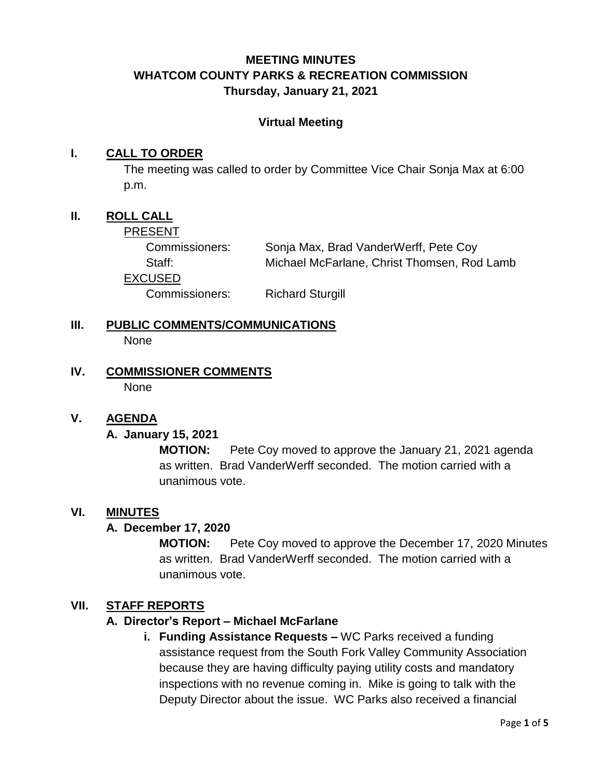# **MEETING MINUTES WHATCOM COUNTY PARKS & RECREATION COMMISSION Thursday, January 21, 2021**

### **Virtual Meeting**

### **I. CALL TO ORDER**

The meeting was called to order by Committee Vice Chair Sonja Max at 6:00 p.m.

## **II. ROLL CALL**

#### PRESENT

Commissioners: Sonja Max, Brad VanderWerff, Pete Coy Staff: Michael McFarlane, Christ Thomsen, Rod Lamb EXCUSED Commissioners: Richard Sturgill

- **III. PUBLIC COMMENTS/COMMUNICATIONS** None
- **IV. COMMISSIONER COMMENTS None**

#### **V. AGENDA**

#### **A. January 15, 2021**

**MOTION:** Pete Coy moved to approve the January 21, 2021 agenda as written. Brad VanderWerff seconded. The motion carried with a unanimous vote.

#### **VI. MINUTES**

#### **A. December 17, 2020**

**MOTION:** Pete Coy moved to approve the December 17, 2020 Minutes as written. Brad VanderWerff seconded. The motion carried with a unanimous vote.

### **VII. STAFF REPORTS**

#### **A. Director's Report – Michael McFarlane**

**i. Funding Assistance Requests –** WC Parks received a funding assistance request from the South Fork Valley Community Association because they are having difficulty paying utility costs and mandatory inspections with no revenue coming in. Mike is going to talk with the Deputy Director about the issue. WC Parks also received a financial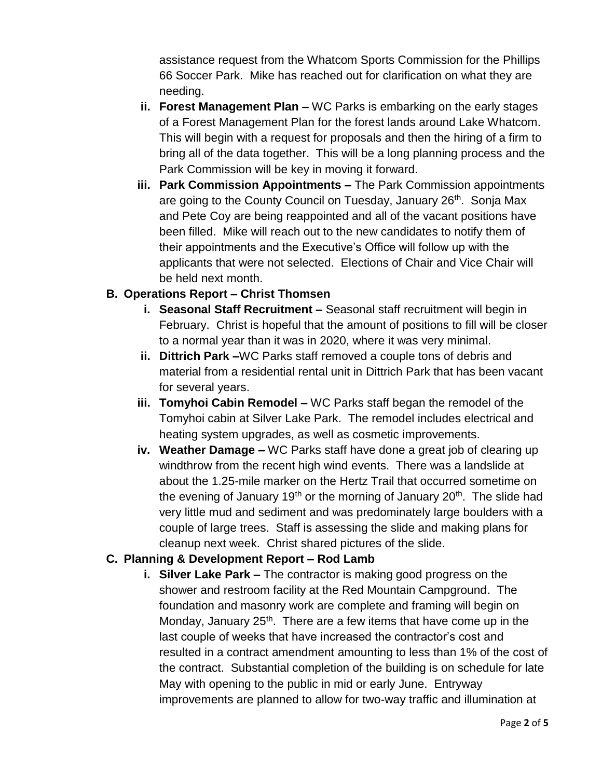assistance request from the Whatcom Sports Commission for the Phillips 66 Soccer Park. Mike has reached out for clarification on what they are needing.

- **ii. Forest Management Plan –** WC Parks is embarking on the early stages of a Forest Management Plan for the forest lands around Lake Whatcom. This will begin with a request for proposals and then the hiring of a firm to bring all of the data together. This will be a long planning process and the Park Commission will be key in moving it forward.
- **iii. Park Commission Appointments –** The Park Commission appointments are going to the County Council on Tuesday, January 26<sup>th</sup>. Sonja Max and Pete Coy are being reappointed and all of the vacant positions have been filled. Mike will reach out to the new candidates to notify them of their appointments and the Executive's Office will follow up with the applicants that were not selected. Elections of Chair and Vice Chair will be held next month.

## **B. Operations Report – Christ Thomsen**

- **i. Seasonal Staff Recruitment –** Seasonal staff recruitment will begin in February. Christ is hopeful that the amount of positions to fill will be closer to a normal year than it was in 2020, where it was very minimal.
- **ii. Dittrich Park –**WC Parks staff removed a couple tons of debris and material from a residential rental unit in Dittrich Park that has been vacant for several years.
- **iii. Tomyhoi Cabin Remodel –** WC Parks staff began the remodel of the Tomyhoi cabin at Silver Lake Park. The remodel includes electrical and heating system upgrades, as well as cosmetic improvements.
- **iv. Weather Damage –** WC Parks staff have done a great job of clearing up windthrow from the recent high wind events. There was a landslide at about the 1.25-mile marker on the Hertz Trail that occurred sometime on the evening of January 19<sup>th</sup> or the morning of January 20<sup>th</sup>. The slide had very little mud and sediment and was predominately large boulders with a couple of large trees. Staff is assessing the slide and making plans for cleanup next week. Christ shared pictures of the slide.

#### **C. Planning & Development Report – Rod Lamb**

**i. Silver Lake Park –** The contractor is making good progress on the shower and restroom facility at the Red Mountain Campground. The foundation and masonry work are complete and framing will begin on Monday, January  $25<sup>th</sup>$ . There are a few items that have come up in the last couple of weeks that have increased the contractor's cost and resulted in a contract amendment amounting to less than 1% of the cost of the contract. Substantial completion of the building is on schedule for late May with opening to the public in mid or early June. Entryway improvements are planned to allow for two-way traffic and illumination at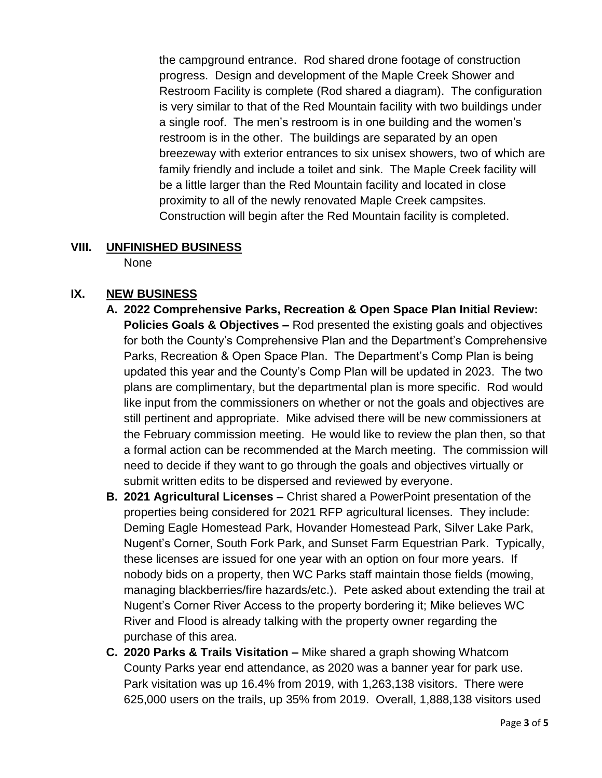the campground entrance. Rod shared drone footage of construction progress. Design and development of the Maple Creek Shower and Restroom Facility is complete (Rod shared a diagram). The configuration is very similar to that of the Red Mountain facility with two buildings under a single roof. The men's restroom is in one building and the women's restroom is in the other. The buildings are separated by an open breezeway with exterior entrances to six unisex showers, two of which are family friendly and include a toilet and sink. The Maple Creek facility will be a little larger than the Red Mountain facility and located in close proximity to all of the newly renovated Maple Creek campsites. Construction will begin after the Red Mountain facility is completed.

# **VIII. UNFINISHED BUSINESS**

None

# **IX. NEW BUSINESS**

- **A. 2022 Comprehensive Parks, Recreation & Open Space Plan Initial Review: Policies Goals & Objectives –** Rod presented the existing goals and objectives for both the County's Comprehensive Plan and the Department's Comprehensive Parks, Recreation & Open Space Plan. The Department's Comp Plan is being updated this year and the County's Comp Plan will be updated in 2023. The two plans are complimentary, but the departmental plan is more specific. Rod would like input from the commissioners on whether or not the goals and objectives are still pertinent and appropriate. Mike advised there will be new commissioners at the February commission meeting. He would like to review the plan then, so that a formal action can be recommended at the March meeting. The commission will need to decide if they want to go through the goals and objectives virtually or submit written edits to be dispersed and reviewed by everyone.
- **B. 2021 Agricultural Licenses –** Christ shared a PowerPoint presentation of the properties being considered for 2021 RFP agricultural licenses. They include: Deming Eagle Homestead Park, Hovander Homestead Park, Silver Lake Park, Nugent's Corner, South Fork Park, and Sunset Farm Equestrian Park. Typically, these licenses are issued for one year with an option on four more years. If nobody bids on a property, then WC Parks staff maintain those fields (mowing, managing blackberries/fire hazards/etc.). Pete asked about extending the trail at Nugent's Corner River Access to the property bordering it; Mike believes WC River and Flood is already talking with the property owner regarding the purchase of this area.
- **C. 2020 Parks & Trails Visitation –** Mike shared a graph showing Whatcom County Parks year end attendance, as 2020 was a banner year for park use. Park visitation was up 16.4% from 2019, with 1,263,138 visitors. There were 625,000 users on the trails, up 35% from 2019. Overall, 1,888,138 visitors used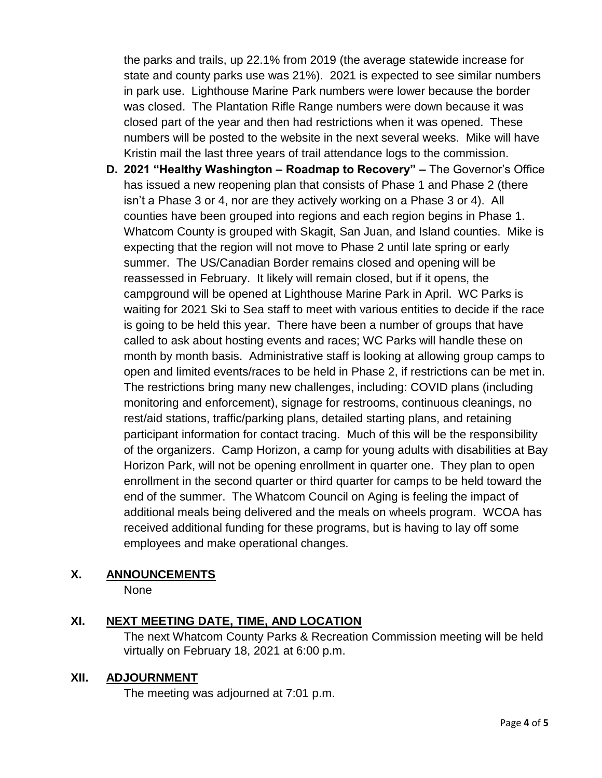the parks and trails, up 22.1% from 2019 (the average statewide increase for state and county parks use was 21%). 2021 is expected to see similar numbers in park use. Lighthouse Marine Park numbers were lower because the border was closed. The Plantation Rifle Range numbers were down because it was closed part of the year and then had restrictions when it was opened. These numbers will be posted to the website in the next several weeks. Mike will have Kristin mail the last three years of trail attendance logs to the commission.

**D. 2021 "Healthy Washington – Roadmap to Recovery" –** The Governor's Office has issued a new reopening plan that consists of Phase 1 and Phase 2 (there isn't a Phase 3 or 4, nor are they actively working on a Phase 3 or 4). All counties have been grouped into regions and each region begins in Phase 1. Whatcom County is grouped with Skagit, San Juan, and Island counties. Mike is expecting that the region will not move to Phase 2 until late spring or early summer. The US/Canadian Border remains closed and opening will be reassessed in February. It likely will remain closed, but if it opens, the campground will be opened at Lighthouse Marine Park in April. WC Parks is waiting for 2021 Ski to Sea staff to meet with various entities to decide if the race is going to be held this year. There have been a number of groups that have called to ask about hosting events and races; WC Parks will handle these on month by month basis. Administrative staff is looking at allowing group camps to open and limited events/races to be held in Phase 2, if restrictions can be met in. The restrictions bring many new challenges, including: COVID plans (including monitoring and enforcement), signage for restrooms, continuous cleanings, no rest/aid stations, traffic/parking plans, detailed starting plans, and retaining participant information for contact tracing. Much of this will be the responsibility of the organizers. Camp Horizon, a camp for young adults with disabilities at Bay Horizon Park, will not be opening enrollment in quarter one. They plan to open enrollment in the second quarter or third quarter for camps to be held toward the end of the summer. The Whatcom Council on Aging is feeling the impact of additional meals being delivered and the meals on wheels program. WCOA has received additional funding for these programs, but is having to lay off some employees and make operational changes.

# **X. ANNOUNCEMENTS**

None

# **XI. NEXT MEETING DATE, TIME, AND LOCATION**

The next Whatcom County Parks & Recreation Commission meeting will be held virtually on February 18, 2021 at 6:00 p.m.

# **XII. ADJOURNMENT**

The meeting was adjourned at 7:01 p.m.